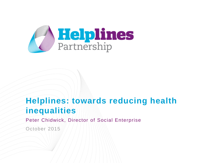

# **Helplines: towards reducing health inequalities**

Peter Chidwick, Director of Social Enterprise

October 2015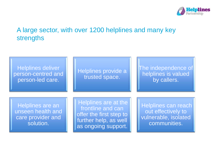

#### A large sector, with over 1200 helplines and many key strengths

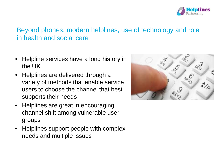

#### Beyond phones: modern helplines, use of technology and role in health and social care

- Helpline services have a long history in the UK
- Helplines are delivered through a variety of methods that enable service users to choose the channel that best supports their needs
- Helplines are great in encouraging channel shift among vulnerable user groups
- Helplines support people with complex needs and multiple issues

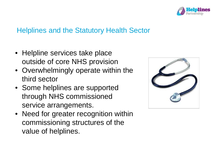

## Helplines and the Statutory Health Sector

- Helpline services take place outside of core NHS provision
- Overwhelmingly operate within the third sector
- Some helplines are supported through NHS commissioned service arrangements.
- Need for greater recognition within commissioning structures of the value of helplines.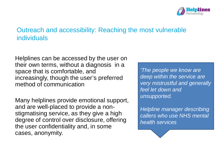

#### Outreach and accessibility: Reaching the most vulnerable individuals

Helplines can be accessed by the user on their own terms, without a diagnosis in a space that is comfortable, and increasingly, though the user's preferred method of communication

Many helplines provide emotional support, and are well-placed to provide a nonstigmatising service, as they give a high degree of control over disclosure, offering the user confidentiality and, in some cases, anonymity.

*'The people we know are deep within the service are very mistrustful and generally feel let down and unsupported.* 

*Helpline manager describing callers who use NHS mental health services*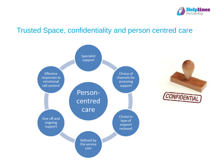

### Trusted Space, confidentiality and person centred care

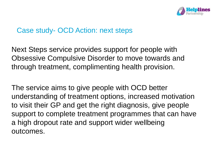

#### Case study- OCD Action: next steps

Next Steps service provides support for people with Obsessive Compulsive Disorder to move towards and through treatment, complimenting health provision.

The service aims to give people with OCD better understanding of treatment options, increased motivation to visit their GP and get the right diagnosis, give people support to complete treatment programmes that can have a high dropout rate and support wider wellbeing outcomes.